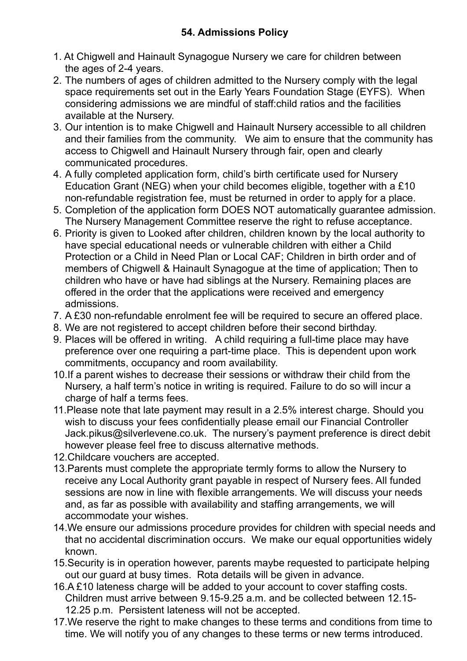- 1. At Chigwell and Hainault Synagogue Nursery we care for children between the ages of 2-4 years.
- 2. The numbers of ages of children admitted to the Nursery comply with the legal space requirements set out in the Early Years Foundation Stage (EYFS). When considering admissions we are mindful of staff:child ratios and the facilities available at the Nursery.
- 3. Our intention is to make Chigwell and Hainault Nursery accessible to all children and their families from the community. We aim to ensure that the community has access to Chigwell and Hainault Nursery through fair, open and clearly communicated procedures.
- 4. A fully completed application form, child's birth certificate used for Nursery Education Grant (NEG) when your child becomes eligible, together with a £10 non-refundable registration fee, must be returned in order to apply for a place.
- 5. Completion of the application form DOES NOT automatically guarantee admission. The Nursery Management Committee reserve the right to refuse acceptance.
- 6. Priority is given to Looked after children, children known by the local authority to have special educational needs or vulnerable children with either a Child Protection or a Child in Need Plan or Local CAF; Children in birth order and of members of Chigwell & Hainault Synagogue at the time of application; Then to children who have or have had siblings at the Nursery. Remaining places are offered in the order that the applications were received and emergency admissions.
- 7. A £30 non-refundable enrolment fee will be required to secure an offered place.
- 8. We are not registered to accept children before their second birthday.
- 9. Places will be offered in writing. A child requiring a full-time place may have preference over one requiring a part-time place. This is dependent upon work commitments, occupancy and room availability.
- 10.If a parent wishes to decrease their sessions or withdraw their child from the Nursery, a half term's notice in writing is required. Failure to do so will incur a charge of half a terms fees.
- 11.Please note that late payment may result in a 2.5% interest charge. Should you wish to discuss your fees confidentially please email our Financial Controller Jack.pikus@silverlevene.co.uk. The nursery's payment preference is direct debit however please feel free to discuss alternative methods.
- 12.Childcare vouchers are accepted.
- 13.Parents must complete the appropriate termly forms to allow the Nursery to receive any Local Authority grant payable in respect of Nursery fees. All funded sessions are now in line with flexible arrangements. We will discuss your needs and, as far as possible with availability and staffing arrangements, we will accommodate your wishes.
- 14.We ensure our admissions procedure provides for children with special needs and that no accidental discrimination occurs. We make our equal opportunities widely known.
- 15.Security is in operation however, parents maybe requested to participate helping out our guard at busy times. Rota details will be given in advance.
- 16.A £10 lateness charge will be added to your account to cover staffing costs. Children must arrive between 9.15-9.25 a.m. and be collected between 12.15- 12.25 p.m. Persistent lateness will not be accepted.
- 17.We reserve the right to make changes to these terms and conditions from time to time. We will notify you of any changes to these terms or new terms introduced.